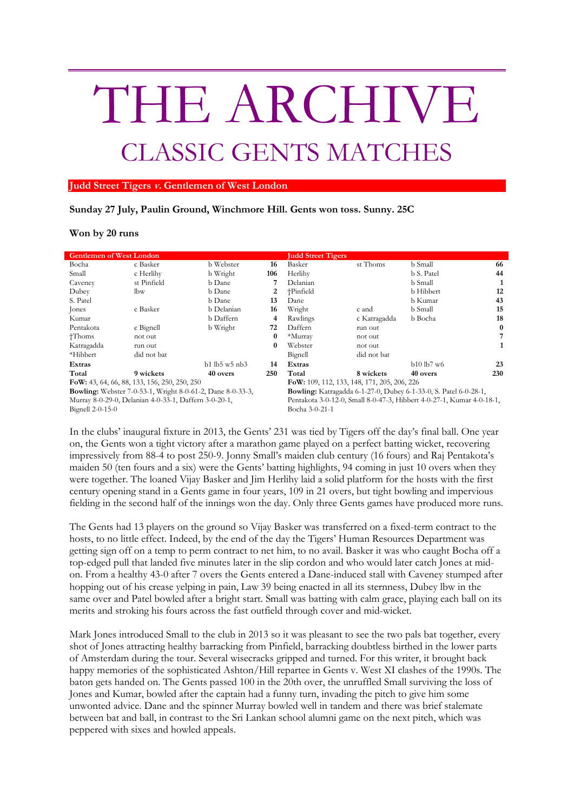## THE ARCHIVE CLASSIC GENTS MATCHES

## **Judd Street Tigers v. Gentlemen of West London**

**Sunday 27 July, Paulin Ground, Winchmore Hill. Gents won toss. Sunny. 25C**

**Won by 20 runs**

| <b>Gentlemen of West London</b>                                   |             |                 |          | <b>Judd Street Tigers</b>                                               |              |              |          |
|-------------------------------------------------------------------|-------------|-----------------|----------|-------------------------------------------------------------------------|--------------|--------------|----------|
| Bocha                                                             | c Basker    | b Webster       | 16       | Basker                                                                  | st Thoms     | b Small      | 66       |
| Small                                                             | c Herlihy   | b Wright        | 106      | Herlihy                                                                 |              | b S. Patel   | 44       |
| Caveney                                                           | st Pinfield | b Dane          |          | Delanian                                                                |              | b Small      |          |
| Dubey                                                             | lbw         | b Dane          | 2        | †Pinfield                                                               |              | b Hibbert    | 12       |
| S. Patel                                                          |             | b Dane          | 13       | Dane                                                                    |              | b Kumar      | 43       |
| Jones                                                             | c Basker    | b Delanian      | 16       | Wright                                                                  | c and        | b Small      | 15       |
| Kumar                                                             |             | b Daffern       | 4        | Rawlings                                                                | c Katragadda | b Bocha      | 18       |
| Pentakota                                                         | c Bignell   | b Wright        | 72       | Daffern                                                                 | run out      |              | $\bf{0}$ |
| $+T$ homs                                                         | not out     |                 | $\bf{0}$ | *Murray                                                                 | not out      |              | 7        |
| Katragadda                                                        | run out     |                 | $\bf{0}$ | Webster                                                                 | not out      |              | 1        |
| *Hibbert                                                          | did not bat |                 |          | Bignell                                                                 | did not bat  |              |          |
| Extras                                                            |             | $b1$ lb5 w5 nb3 | 14       | Extras                                                                  |              | $b10$ lb7 w6 | 23       |
| Total                                                             | 9 wickets   | 40 overs        | 250      | Total                                                                   | 8 wickets    | 40 overs     | 230      |
| FoW: 43, 64, 66, 88, 133, 156, 250, 250, 250                      |             |                 |          | FoW: 109, 112, 133, 148, 171, 205, 206, 226                             |              |              |          |
| <b>Bowling:</b> Webster 7-0-53-1, Wright 8-0-61-2, Dane 8-0-33-3, |             |                 |          | <b>Bowling:</b> Katragadda 6-1-27-0, Dubey 6-1-33-0, S. Patel 6-0-28-1, |              |              |          |
| Murray 8-0-29-0, Delanian 4-0-33-1, Daffern 3-0-20-1,             |             |                 |          | Pentakota 3-0-12-0, Small 8-0-47-3, Hibbert 4-0-27-1, Kumar 4-0-18-1,   |              |              |          |
| Bignell $2-0-15-0$                                                |             |                 |          | Bocha 3-0-21-1                                                          |              |              |          |

In the clubs' inaugural fixture in 2013, the Gents' 231 was tied by Tigers off the day's final ball. One year on, the Gents won a tight victory after a marathon game played on a perfect batting wicket, recovering impressively from 88-4 to post 250-9. Jonny Small's maiden club century (16 fours) and Raj Pentakota's maiden 50 (ten fours and a six) were the Gents' batting highlights, 94 coming in just 10 overs when they were together. The loaned Vijay Basker and Jim Herlihy laid a solid platform for the hosts with the first century opening stand in a Gents game in four years, 109 in 21 overs, but tight bowling and impervious fielding in the second half of the innings won the day. Only three Gents games have produced more runs.

The Gents had 13 players on the ground so Vijay Basker was transferred on a fixed-term contract to the hosts, to no little effect. Indeed, by the end of the day the Tigers' Human Resources Department was getting sign off on a temp to perm contract to net him, to no avail. Basker it was who caught Bocha off a top-edged pull that landed five minutes later in the slip cordon and who would later catch Jones at midon. From a healthy 43-0 after 7 overs the Gents entered a Dane-induced stall with Caveney stumped after hopping out of his crease yelping in pain, Law 39 being enacted in all its sternness, Dubey lbw in the same over and Patel bowled after a bright start. Small was batting with calm grace, playing each ball on its merits and stroking his fours across the fast outfield through cover and mid-wicket.

Mark Jones introduced Small to the club in 2013 so it was pleasant to see the two pals bat together, every shot of Jones attracting healthy barracking from Pinfield, barracking doubtless birthed in the lower parts of Amsterdam during the tour. Several wisecracks gripped and turned. For this writer, it brought back happy memories of the sophisticated Ashton/Hill repartee in Gents v. West XI clashes of the 1990s. The baton gets handed on. The Gents passed 100 in the 20th over, the unruffled Small surviving the loss of Jones and Kumar, bowled after the captain had a funny turn, invading the pitch to give him some unwonted advice. Dane and the spinner Murray bowled well in tandem and there was brief stalemate between bat and ball, in contrast to the Sri Lankan school alumni game on the next pitch, which was peppered with sixes and howled appeals.